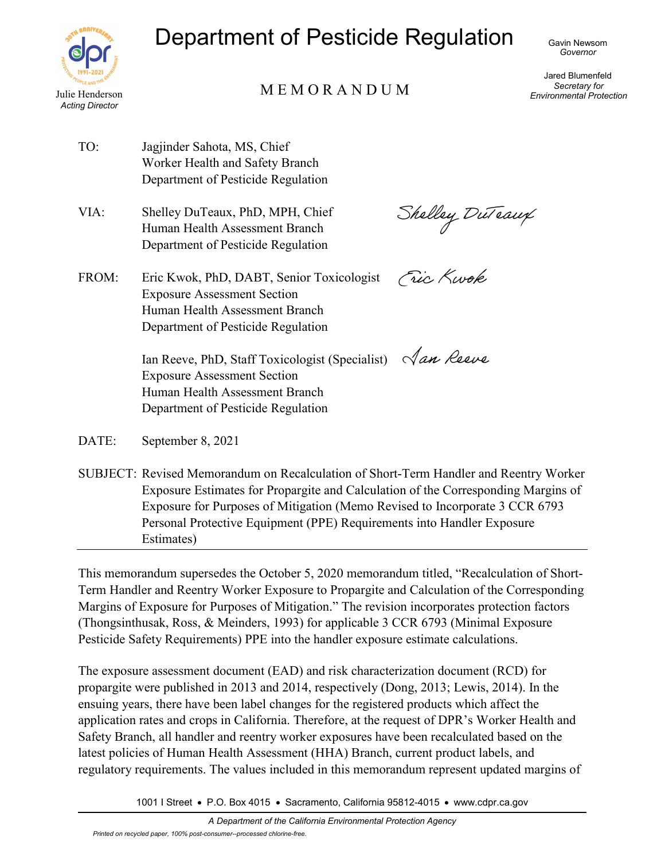

# Department of Pesticide Regulation

# Julie Henderson M E M O R A N D U M

Jared Blumenfeld *Secretary for Environmental Protection*

- TO: Jagjinder Sahota, MS, Chief Worker Health and Safety Branch Department of Pesticide Regulation
- VIA: Shelley DuTeaux, PhD, MPH, Chief Human Health Assessment Branch Department of Pesticide Regulation

FROM: Eric Kwok, PhD, DABT, Senior Toxicologist Exposure Assessment Section Human Health Assessment Branch Department of Pesticide Regulation

Shelley DuTeaux

Fric Kwok

Ian Reeve, PhD, Staff Toxicologist (Specialist)  $\sqrt{an}$  Reeve Exposure Assessment Section Human Health Assessment Branch Department of Pesticide Regulation

DATE: September 8, 2021

SUBJECT: Revised Memorandum on Recalculation of Short-Term Handler and Reentry Worker Exposure Estimates for Propargite and Calculation of the Corresponding Margins of Exposure for Purposes of Mitigation (Memo Revised to Incorporate 3 CCR 6793 Personal Protective Equipment (PPE) Requirements into Handler Exposure Estimates)

This memorandum supersedes the October 5, 2020 memorandum titled, "Recalculation of Short-Term Handler and Reentry Worker Exposure to Propargite and Calculation of the Corresponding Margins of Exposure for Purposes of Mitigation." The revision incorporates protection factors (Thongsinthusak, Ross, & Meinders, 1993) for applicable 3 CCR 6793 (Minimal Exposure Pesticide Safety Requirements) PPE into the handler exposure estimate calculations.

The exposure assessment document (EAD) and risk characterization document (RCD) for propargite were published in 2013 and 2014, respectively (Dong, 2013; Lewis, 2014). In the ensuing years, there have been label changes for the registered products which affect the application rates and crops in California. Therefore, at the request of DPR's Worker Health and Safety Branch, all handler and reentry worker exposures have been recalculated based on the latest policies of Human Health Assessment (HHA) Branch, current product labels, and regulatory requirements. The values included in this memorandum represent updated margins of

1001 I Street • P.O. Box 4015 • Sacramento, California 95812-4015 • www.cdpr.ca.gov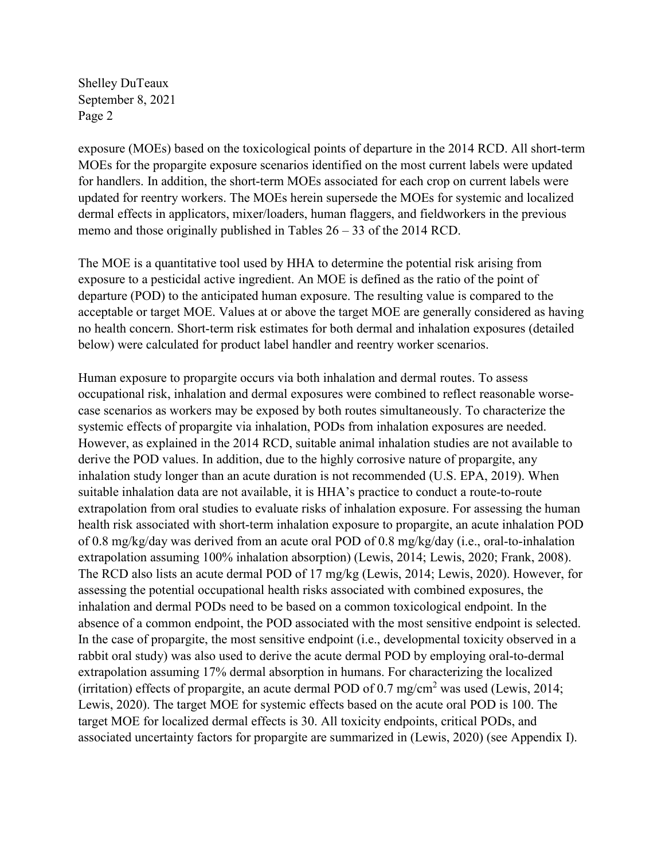exposure (MOEs) based on the toxicological points of departure in the 2014 RCD. All short-term MOEs for the propargite exposure scenarios identified on the most current labels were updated for handlers. In addition, the short-term MOEs associated for each crop on current labels were updated for reentry workers. The MOEs herein supersede the MOEs for systemic and localized dermal effects in applicators, mixer/loaders, human flaggers, and fieldworkers in the previous memo and those originally published in Tables 26 – 33 of the 2014 RCD.

The MOE is a quantitative tool used by HHA to determine the potential risk arising from exposure to a pesticidal active ingredient. An MOE is defined as the ratio of the point of departure (POD) to the anticipated human exposure. The resulting value is compared to the acceptable or target MOE. Values at or above the target MOE are generally considered as having no health concern. Short-term risk estimates for both dermal and inhalation exposures (detailed below) were calculated for product label handler and reentry worker scenarios.

Human exposure to propargite occurs via both inhalation and dermal routes. To assess occupational risk, inhalation and dermal exposures were combined to reflect reasonable worsecase scenarios as workers may be exposed by both routes simultaneously. To characterize the systemic effects of propargite via inhalation, PODs from inhalation exposures are needed. However, as explained in the 2014 RCD, suitable animal inhalation studies are not available to derive the POD values. In addition, due to the highly corrosive nature of propargite, any inhalation study longer than an acute duration is not recommended (U.S. EPA, 2019). When suitable inhalation data are not available, it is HHA's practice to conduct a route-to-route extrapolation from oral studies to evaluate risks of inhalation exposure. For assessing the human health risk associated with short-term inhalation exposure to propargite, an acute inhalation POD of 0.8 mg/kg/day was derived from an acute oral POD of 0.8 mg/kg/day (i.e., oral-to-inhalation extrapolation assuming 100% inhalation absorption) (Lewis, 2014; Lewis, 2020; Frank, 2008). The RCD also lists an acute dermal POD of 17 mg/kg (Lewis, 2014; Lewis, 2020). However, for assessing the potential occupational health risks associated with combined exposures, the inhalation and dermal PODs need to be based on a common toxicological endpoint. In the absence of a common endpoint, the POD associated with the most sensitive endpoint is selected. In the case of propargite, the most sensitive endpoint (i.e., developmental toxicity observed in a rabbit oral study) was also used to derive the acute dermal POD by employing oral-to-dermal extrapolation assuming 17% dermal absorption in humans. For characterizing the localized (irritation) effects of propargite, an acute dermal POD of  $0.7 \text{ mg/cm}^2$  was used (Lewis, 2014; Lewis, 2020). The target MOE for systemic effects based on the acute oral POD is 100. The target MOE for localized dermal effects is 30. All toxicity endpoints, critical PODs, and associated uncertainty factors for propargite are summarized in (Lewis, 2020) (see Appendix I).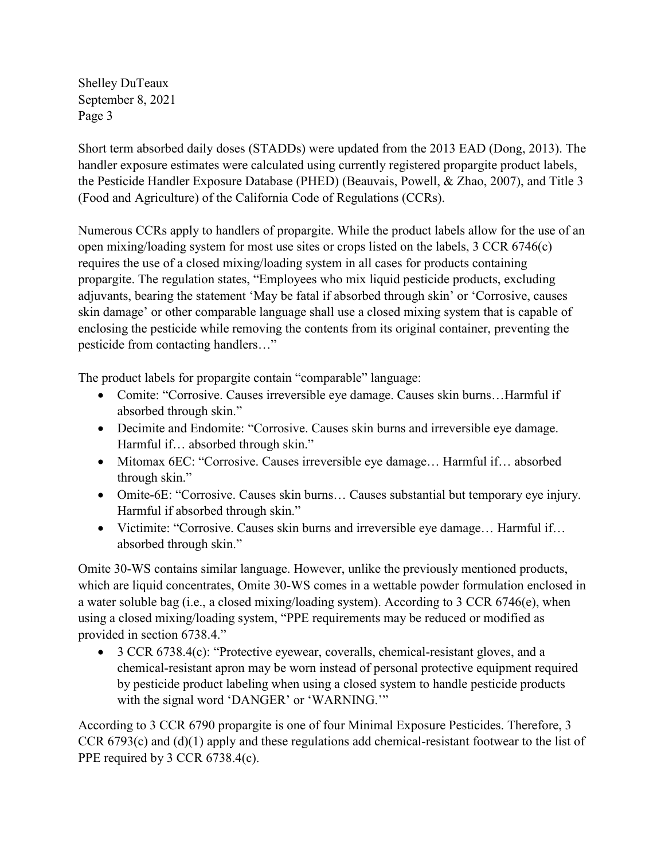Short term absorbed daily doses (STADDs) were updated from the 2013 EAD (Dong, 2013). The handler exposure estimates were calculated using currently registered propargite product labels, the Pesticide Handler Exposure Database (PHED) (Beauvais, Powell, & Zhao, 2007), and Title 3 (Food and Agriculture) of the California Code of Regulations (CCRs).

Numerous CCRs apply to handlers of propargite. While the product labels allow for the use of an open mixing/loading system for most use sites or crops listed on the labels, 3 CCR 6746(c) requires the use of a closed mixing/loading system in all cases for products containing propargite. The regulation states, "Employees who mix liquid pesticide products, excluding adjuvants, bearing the statement 'May be fatal if absorbed through skin' or 'Corrosive, causes skin damage' or other comparable language shall use a closed mixing system that is capable of enclosing the pesticide while removing the contents from its original container, preventing the pesticide from contacting handlers…"

The product labels for propargite contain "comparable" language:

- Comite: "Corrosive. Causes irreversible eye damage. Causes skin burns...Harmful if absorbed through skin."
- Decimite and Endomite: "Corrosive. Causes skin burns and irreversible eye damage. Harmful if… absorbed through skin."
- Mitomax 6EC: "Corrosive. Causes irreversible eye damage... Harmful if... absorbed through skin."
- Omite-6E: "Corrosive. Causes skin burns... Causes substantial but temporary eye injury. Harmful if absorbed through skin."
- Victimite: "Corrosive. Causes skin burns and irreversible eye damage… Harmful if… absorbed through skin."

Omite 30-WS contains similar language. However, unlike the previously mentioned products, which are liquid concentrates, Omite 30-WS comes in a wettable powder formulation enclosed in a water soluble bag (i.e., a closed mixing/loading system). According to 3 CCR 6746(e), when using a closed mixing/loading system, "PPE requirements may be reduced or modified as provided in section 6738.4."

• 3 CCR 6738.4(c): "Protective eyewear, coveralls, chemical-resistant gloves, and a chemical-resistant apron may be worn instead of personal protective equipment required by pesticide product labeling when using a closed system to handle pesticide products with the signal word 'DANGER' or 'WARNING.'"

According to 3 CCR 6790 propargite is one of four Minimal Exposure Pesticides. Therefore, 3 CCR 6793(c) and (d)(1) apply and these regulations add chemical-resistant footwear to the list of PPE required by 3 CCR 6738.4(c).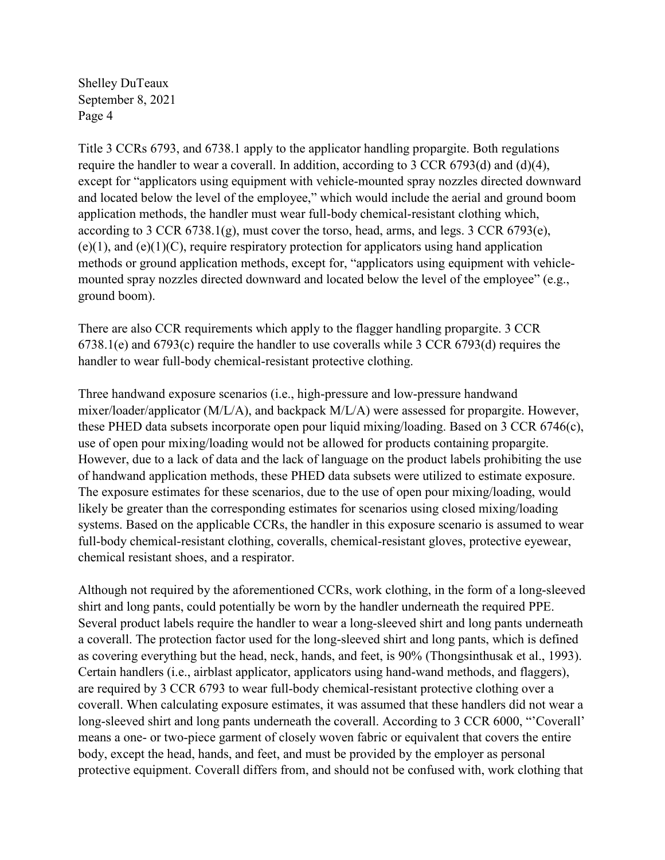Title 3 CCRs 6793, and 6738.1 apply to the applicator handling propargite. Both regulations require the handler to wear a coverall. In addition, according to 3 CCR 6793(d) and (d)(4), except for "applicators using equipment with vehicle-mounted spray nozzles directed downward and located below the level of the employee," which would include the aerial and ground boom application methods, the handler must wear full-body chemical-resistant clothing which, according to 3 CCR 6738.1(g), must cover the torso, head, arms, and legs. 3 CCR 6793(e),  $(e)(1)$ , and  $(e)(1)(C)$ , require respiratory protection for applicators using hand application methods or ground application methods, except for, "applicators using equipment with vehiclemounted spray nozzles directed downward and located below the level of the employee" (e.g., ground boom).

There are also CCR requirements which apply to the flagger handling propargite. 3 CCR 6738.1(e) and 6793(c) require the handler to use coveralls while 3 CCR 6793(d) requires the handler to wear full-body chemical-resistant protective clothing.

Three handwand exposure scenarios (i.e., high-pressure and low-pressure handwand mixer/loader/applicator (M/L/A), and backpack M/L/A) were assessed for propargite. However, these PHED data subsets incorporate open pour liquid mixing/loading. Based on 3 CCR 6746(c), use of open pour mixing/loading would not be allowed for products containing propargite. However, due to a lack of data and the lack of language on the product labels prohibiting the use of handwand application methods, these PHED data subsets were utilized to estimate exposure. The exposure estimates for these scenarios, due to the use of open pour mixing/loading, would likely be greater than the corresponding estimates for scenarios using closed mixing/loading systems. Based on the applicable CCRs, the handler in this exposure scenario is assumed to wear full-body chemical-resistant clothing, coveralls, chemical-resistant gloves, protective eyewear, chemical resistant shoes, and a respirator.

Although not required by the aforementioned CCRs, work clothing, in the form of a long-sleeved shirt and long pants, could potentially be worn by the handler underneath the required PPE. Several product labels require the handler to wear a long-sleeved shirt and long pants underneath a coverall. The protection factor used for the long-sleeved shirt and long pants, which is defined as covering everything but the head, neck, hands, and feet, is 90% (Thongsinthusak et al., 1993). Certain handlers (i.e., airblast applicator, applicators using hand-wand methods, and flaggers), are required by 3 CCR 6793 to wear full-body chemical-resistant protective clothing over a coverall. When calculating exposure estimates, it was assumed that these handlers did not wear a long-sleeved shirt and long pants underneath the coverall. According to 3 CCR 6000, "'Coverall' means a one- or two-piece garment of closely woven fabric or equivalent that covers the entire body, except the head, hands, and feet, and must be provided by the employer as personal protective equipment. Coverall differs from, and should not be confused with, work clothing that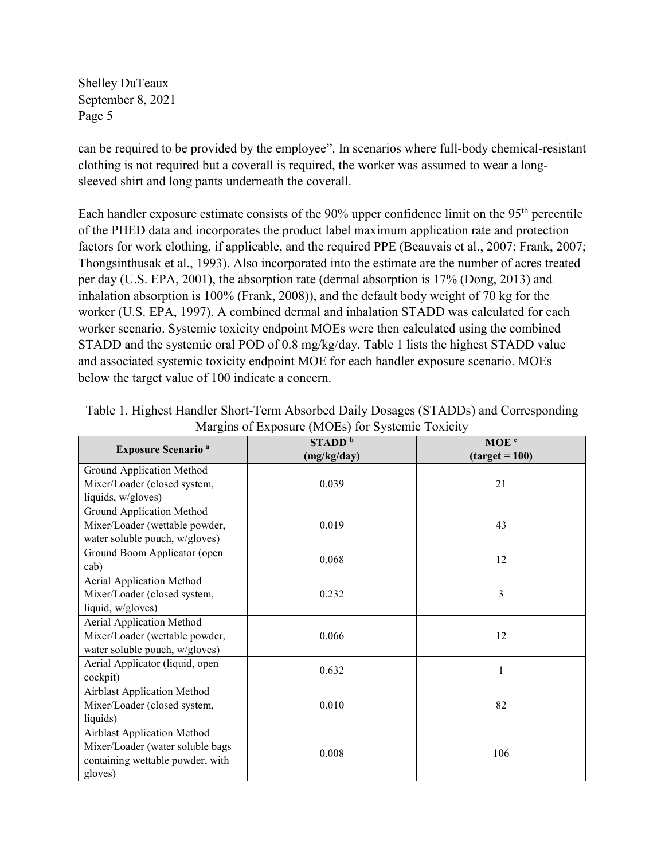can be required to be provided by the employee". In scenarios where full-body chemical-resistant clothing is not required but a coverall is required, the worker was assumed to wear a longsleeved shirt and long pants underneath the coverall.

Each handler exposure estimate consists of the 90% upper confidence limit on the 95<sup>th</sup> percentile of the PHED data and incorporates the product label maximum application rate and protection factors for work clothing, if applicable, and the required PPE (Beauvais et al., 2007; Frank, 2007; Thongsinthusak et al., 1993). Also incorporated into the estimate are the number of acres treated per day (U.S. EPA, 2001), the absorption rate (dermal absorption is 17% (Dong, 2013) and inhalation absorption is 100% (Frank, 2008)), and the default body weight of 70 kg for the worker (U.S. EPA, 1997). A combined dermal and inhalation STADD was calculated for each worker scenario. Systemic toxicity endpoint MOEs were then calculated using the combined STADD and the systemic oral POD of 0.8 mg/kg/day. Table 1 lists the highest STADD value and associated systemic toxicity endpoint MOE for each handler exposure scenario. MOEs below the target value of 100 indicate a concern.

|                                      | $\frac{1}{2}$ $\frac{1}{2}$ $\frac{1}{2}$ $\frac{1}{2}$ $\frac{1}{2}$ $\frac{1}{2}$ $\frac{1}{2}$ $\frac{1}{2}$ $\frac{1}{2}$ $\frac{1}{2}$ $\frac{1}{2}$ $\frac{1}{2}$ $\frac{1}{2}$ $\frac{1}{2}$ $\frac{1}{2}$ $\frac{1}{2}$ $\frac{1}{2}$ $\frac{1}{2}$ $\frac{1}{2}$ $\frac{1}{2}$ $\frac{1}{2}$ $\frac{1}{2}$ |                  |
|--------------------------------------|---------------------------------------------------------------------------------------------------------------------------------------------------------------------------------------------------------------------------------------------------------------------------------------------------------------------|------------------|
| <b>Exposure Scenario<sup>a</sup></b> | STADD <sup>b</sup>                                                                                                                                                                                                                                                                                                  | MOE <sup>c</sup> |
|                                      | (mg/kg/day)                                                                                                                                                                                                                                                                                                         | $(target = 100)$ |
| Ground Application Method            |                                                                                                                                                                                                                                                                                                                     |                  |
| Mixer/Loader (closed system,         | 0.039                                                                                                                                                                                                                                                                                                               | 21               |
| liquids, w/gloves)                   |                                                                                                                                                                                                                                                                                                                     |                  |
| Ground Application Method            |                                                                                                                                                                                                                                                                                                                     |                  |
| Mixer/Loader (wettable powder,       | 0.019                                                                                                                                                                                                                                                                                                               | 43               |
| water soluble pouch, w/gloves)       |                                                                                                                                                                                                                                                                                                                     |                  |
| Ground Boom Applicator (open         | 0.068                                                                                                                                                                                                                                                                                                               | 12               |
| cab)                                 |                                                                                                                                                                                                                                                                                                                     |                  |
| Aerial Application Method            |                                                                                                                                                                                                                                                                                                                     |                  |
| Mixer/Loader (closed system,         | 0.232                                                                                                                                                                                                                                                                                                               | 3                |
| liquid, w/gloves)                    |                                                                                                                                                                                                                                                                                                                     |                  |
| Aerial Application Method            |                                                                                                                                                                                                                                                                                                                     |                  |
| Mixer/Loader (wettable powder,       | 0.066                                                                                                                                                                                                                                                                                                               | 12               |
| water soluble pouch, w/gloves)       |                                                                                                                                                                                                                                                                                                                     |                  |
| Aerial Applicator (liquid, open      | 0.632                                                                                                                                                                                                                                                                                                               | 1                |
| cockpit)                             |                                                                                                                                                                                                                                                                                                                     |                  |
| <b>Airblast Application Method</b>   |                                                                                                                                                                                                                                                                                                                     |                  |
| Mixer/Loader (closed system,         | 0.010                                                                                                                                                                                                                                                                                                               | 82               |
| liquids)                             |                                                                                                                                                                                                                                                                                                                     |                  |
| Airblast Application Method          |                                                                                                                                                                                                                                                                                                                     |                  |
| Mixer/Loader (water soluble bags     | 0.008                                                                                                                                                                                                                                                                                                               | 106              |
| containing wettable powder, with     |                                                                                                                                                                                                                                                                                                                     |                  |
| gloves)                              |                                                                                                                                                                                                                                                                                                                     |                  |

Table 1. Highest Handler Short-Term Absorbed Daily Dosages (STADDs) and Corresponding Margins of Exposure (MOEs) for Systemic Toxicity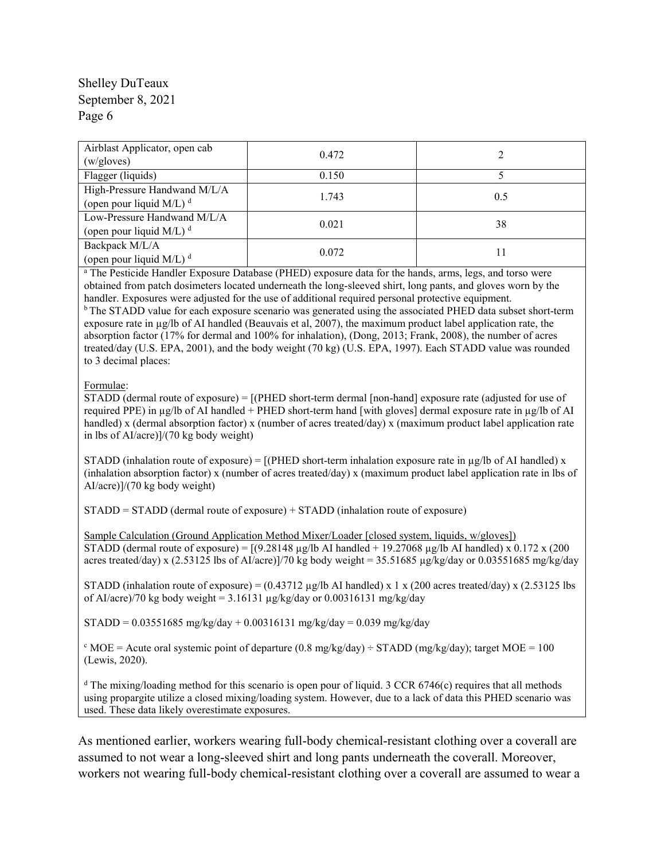| Airblast Applicator, open cab<br>(w/gloves)                | 0.472 |     |
|------------------------------------------------------------|-------|-----|
| Flagger (liquids)                                          | 0.150 |     |
| High-Pressure Handwand M/L/A<br>(open pour liquid M/L) $d$ | 1.743 | 0.5 |
| Low-Pressure Handwand M/L/A<br>(open pour liquid M/L) $d$  | 0.021 | 38  |
| Backpack M/L/A<br>(open pour liquid M/L) $d$               | 0.072 |     |

<sup>a</sup> The Pesticide Handler Exposure Database (PHED) exposure data for the hands, arms, legs, and torso were obtained from patch dosimeters located underneath the long-sleeved shirt, long pants, and gloves worn by the handler. Exposures were adjusted for the use of additional required personal protective equipment.

<sup>b</sup> The STADD value for each exposure scenario was generated using the associated PHED data subset short-term exposure rate in µg/lb of AI handled (Beauvais et al, 2007), the maximum product label application rate, the absorption factor (17% for dermal and 100% for inhalation), (Dong, 2013; Frank, 2008), the number of acres treated/day (U.S. EPA, 2001), and the body weight (70 kg) (U.S. EPA, 1997). Each STADD value was rounded to 3 decimal places:

#### Formulae:

STADD (dermal route of exposure) = [(PHED short-term dermal [non-hand] exposure rate (adjusted for use of required PPE) in µg/lb of AI handled + PHED short-term hand [with gloves] dermal exposure rate in µg/lb of AI handled) x (dermal absorption factor) x (number of acres treated/day) x (maximum product label application rate in lbs of AI/acre)]/(70 kg body weight)

STADD (inhalation route of exposure) =  $[(PHED short-term inhalation exposure rate in  $\mu g/lb$  of AI handled) x$ (inhalation absorption factor) x (number of acres treated/day) x (maximum product label application rate in lbs of AI/acre)]/(70 kg body weight)

STADD = STADD (dermal route of exposure) + STADD (inhalation route of exposure)

Sample Calculation (Ground Application Method Mixer/Loader [closed system, liquids, w/gloves]) STADD (dermal route of exposure) =  $[(9.28148 \text{ µg/lb Al handled} + 19.27068 \text{ µg/lb Al handled}) \times 0.172 \times (200$ acres treated/day) x (2.53125 lbs of AI/acre)]/70 kg body weight = 35.51685  $\mu g/kg/day$  or 0.03551685 mg/kg/day

STADD (inhalation route of exposure) =  $(0.43712 \text{ µg/lb Al handled}) \times 1 \times (200 \text{ acres treated/day}) \times (2.53125 \text{ lbs})$ of AI/acre)/70 kg body weight =  $3.16131 \mu g/kg/day$  or 0.00316131 mg/kg/day

 $STADD = 0.03551685$  mg/kg/day + 0.00316131 mg/kg/day = 0.039 mg/kg/day

<sup>c</sup> MOE = Acute oral systemic point of departure (0.8 mg/kg/day) ÷ STADD (mg/kg/day); target MOE = 100 (Lewis, 2020).

<sup>d</sup> The mixing/loading method for this scenario is open pour of liquid. 3 CCR 6746(c) requires that all methods using propargite utilize a closed mixing/loading system. However, due to a lack of data this PHED scenario was used. These data likely overestimate exposures.

As mentioned earlier, workers wearing full-body chemical-resistant clothing over a coverall are assumed to not wear a long-sleeved shirt and long pants underneath the coverall. Moreover, workers not wearing full-body chemical-resistant clothing over a coverall are assumed to wear a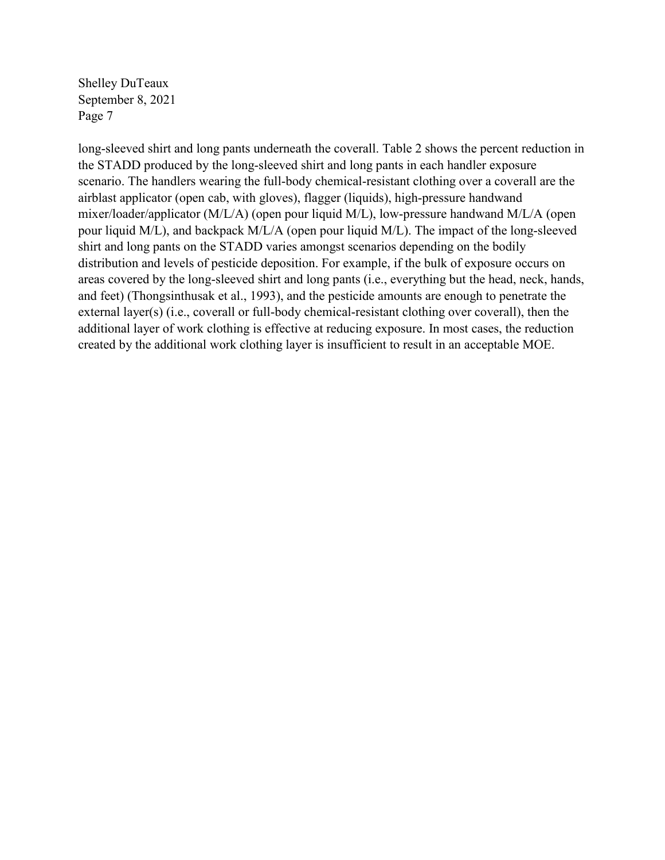long-sleeved shirt and long pants underneath the coverall. Table 2 shows the percent reduction in the STADD produced by the long-sleeved shirt and long pants in each handler exposure scenario. The handlers wearing the full-body chemical-resistant clothing over a coverall are the airblast applicator (open cab, with gloves), flagger (liquids), high-pressure handwand mixer/loader/applicator (M/L/A) (open pour liquid M/L), low-pressure handwand M/L/A (open pour liquid M/L), and backpack M/L/A (open pour liquid M/L). The impact of the long-sleeved shirt and long pants on the STADD varies amongst scenarios depending on the bodily distribution and levels of pesticide deposition. For example, if the bulk of exposure occurs on areas covered by the long-sleeved shirt and long pants (i.e., everything but the head, neck, hands, and feet) (Thongsinthusak et al., 1993), and the pesticide amounts are enough to penetrate the external layer(s) (i.e., coverall or full-body chemical-resistant clothing over coverall), then the additional layer of work clothing is effective at reducing exposure. In most cases, the reduction created by the additional work clothing layer is insufficient to result in an acceptable MOE.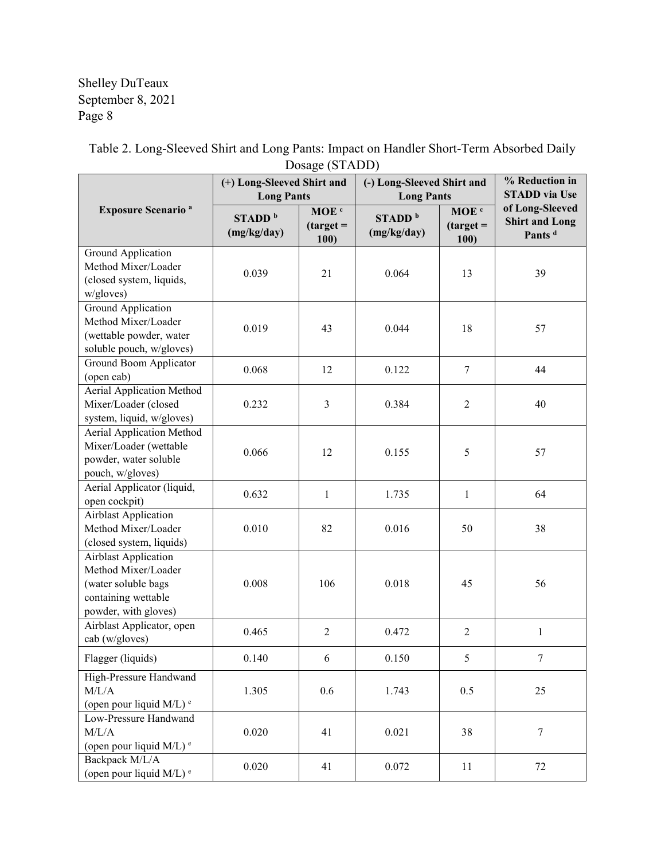|                                                                                                                          | (+) Long-Sleeved Shirt and<br><b>Long Pants</b> |                                         | $D$ $\vee$ $D \vee$ $D \vee$ $D \vee$ $D \vee$<br>(-) Long-Sleeved Shirt and<br><b>Long Pants</b> |                                         | % Reduction in<br><b>STADD</b> via Use                         |  |
|--------------------------------------------------------------------------------------------------------------------------|-------------------------------------------------|-----------------------------------------|---------------------------------------------------------------------------------------------------|-----------------------------------------|----------------------------------------------------------------|--|
| <b>Exposure Scenario<sup>a</sup></b>                                                                                     | STADD <sup>b</sup><br>(mg/kg/day)               | MOE <sup>c</sup><br>$(target =$<br>100) | STADD <sup>b</sup><br>(mg/kg/day)                                                                 | MOE <sup>c</sup><br>$(target =$<br>100) | of Long-Sleeved<br><b>Shirt and Long</b><br>Pants <sup>d</sup> |  |
| Ground Application<br>Method Mixer/Loader<br>(closed system, liquids,<br>w/gloves)                                       | 0.039                                           | 21                                      | 0.064                                                                                             | 13                                      | 39                                                             |  |
| Ground Application<br>Method Mixer/Loader<br>(wettable powder, water<br>soluble pouch, w/gloves)                         | 0.019                                           | 43                                      | 0.044                                                                                             | 18                                      | 57                                                             |  |
| Ground Boom Applicator<br>(open cab)                                                                                     | 0.068                                           | 12                                      | 0.122                                                                                             | $\tau$                                  | 44                                                             |  |
| <b>Aerial Application Method</b><br>Mixer/Loader (closed<br>system, liquid, w/gloves)                                    | 0.232                                           | 3                                       | 0.384                                                                                             | 2                                       | 40                                                             |  |
| Aerial Application Method<br>Mixer/Loader (wettable<br>powder, water soluble<br>pouch, w/gloves)                         | 0.066                                           | 12                                      | 0.155                                                                                             | 5                                       | 57                                                             |  |
| Aerial Applicator (liquid,<br>open cockpit)                                                                              | 0.632                                           | $\mathbf{1}$                            | 1.735                                                                                             | $\mathbf{1}$                            | 64                                                             |  |
| <b>Airblast Application</b><br>Method Mixer/Loader<br>(closed system, liquids)                                           | 0.010                                           | 82                                      | 0.016                                                                                             | 50                                      | 38                                                             |  |
| <b>Airblast Application</b><br>Method Mixer/Loader<br>(water soluble bags<br>containing wettable<br>powder, with gloves) | 0.008                                           | 106                                     | 0.018                                                                                             | 45                                      | 56                                                             |  |
| Airblast Applicator, open<br>cab (w/gloves)                                                                              | 0.465                                           | $\overline{2}$                          | 0.472                                                                                             | $\overline{2}$                          | $\mathbf{1}$                                                   |  |
| Flagger (liquids)                                                                                                        | 0.140                                           | 6                                       | 0.150                                                                                             | 5                                       |                                                                |  |
| High-Pressure Handwand<br>M/L/A<br>(open pour liquid M/L) <sup>e</sup>                                                   | 1.305                                           | 0.6                                     | 1.743                                                                                             | 0.5                                     | 25                                                             |  |
| Low-Pressure Handwand<br>M/L/A<br>(open pour liquid M/L) <sup>e</sup>                                                    | 0.020                                           | 41                                      | 0.021                                                                                             | 38                                      | $\tau$                                                         |  |
| Backpack M/L/A<br>(open pour liquid M/L) <sup>e</sup>                                                                    | 0.020                                           | 41                                      | 0.072                                                                                             | 11                                      | 72                                                             |  |

Table 2. Long-Sleeved Shirt and Long Pants: Impact on Handler Short-Term Absorbed Daily Dosage (STADD)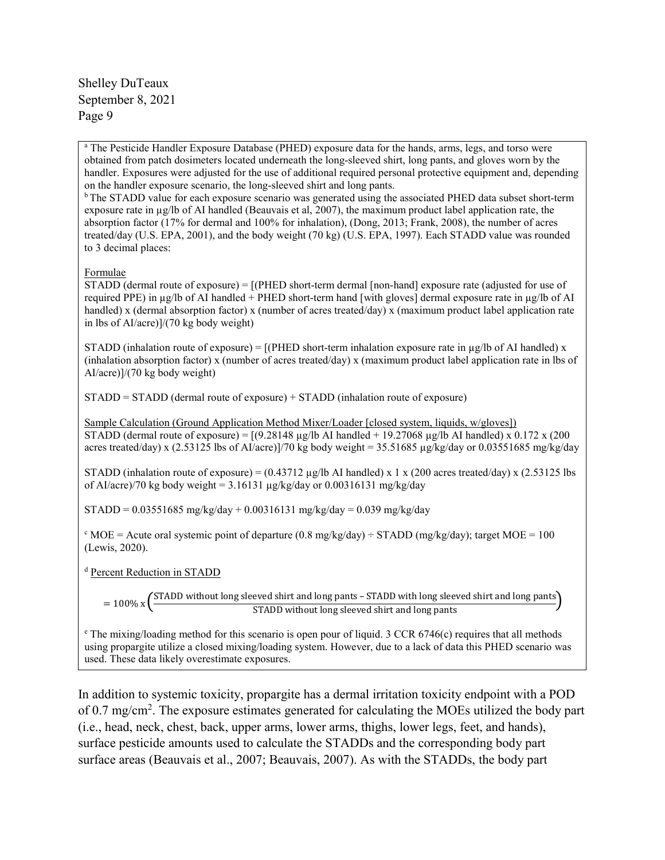<sup>a</sup> The Pesticide Handler Exposure Database (PHED) exposure data for the hands, arms, legs, and torso were obtained from patch dosimeters located underneath the long-sleeved shirt, long pants, and gloves worn by the handler. Exposures were adjusted for the use of additional required personal protective equipment and, depending on the handler exposure scenario, the long-sleeved shirt and long pants.<br><sup>b</sup> The STADD value for each exposure scenario was generated using the associated PHED data subset short-term

exposure rate in µg/lb of AI handled (Beauvais et al, 2007), the maximum product label application rate, the absorption factor (17% for dermal and 100% for inhalation), (Dong, 2013; Frank, 2008), the number of acres treated/day (U.S. EPA, 2001), and the body weight (70 kg) (U.S. EPA, 1997). Each STADD value was rounded to 3 decimal places:

#### Formulae

STADD (dermal route of exposure) = [(PHED short-term dermal [non-hand] exposure rate (adjusted for use of required PPE) in µg/lb of AI handled + PHED short-term hand [with gloves] dermal exposure rate in µg/lb of AI handled) x (dermal absorption factor) x (number of acres treated/day) x (maximum product label application rate in lbs of AI/acre)]/(70 kg body weight)

STADD (inhalation route of exposure) =  $[(PHED short-term inhalation exposure rate in  $\mu g/lb$  of AI handled) x$ (inhalation absorption factor) x (number of acres treated/day) x (maximum product label application rate in lbs of AI/acre)]/(70 kg body weight)

STADD = STADD (dermal route of exposure) + STADD (inhalation route of exposure)

Sample Calculation (Ground Application Method Mixer/Loader [closed system, liquids, w/gloves]) STADD (dermal route of exposure) =  $[(9.28148 \text{ µg/lb Al handled} + 19.27068 \text{ µg/lb Al handled}) \times 0.172 \times (200$ acres treated/day) x (2.53125 lbs of AI/acre)]/70 kg body weight = 35.51685 µg/kg/day or 0.03551685 mg/kg/day

STADD (inhalation route of exposure) =  $(0.43712 \text{ µg/lb Al handled}) \times 1 \times (200 \text{ acres treated/day}) \times (2.53125 \text{ lbs})$ of AI/acre)/70 kg body weight =  $3.16131 \mu$ g/kg/day or 0.00316131 mg/kg/day

 $STADD = 0.03551685$  mg/kg/day + 0.00316131 mg/kg/day = 0.039 mg/kg/day

 $c$  MOE = Acute oral systemic point of departure (0.8 mg/kg/day) ÷ STADD (mg/kg/day); target MOE = 100 (Lewis, 2020).

<sup>d</sup> Percent Reduction in STADD

= 100% x  $\left(\frac{\text{STADD without long sieved shirt and long pants} - \text{STADD with long sieved shirt and long parts}}{\text{STADD without long sieved shirt and long pants}}\right)$ 

<sup>e</sup> The mixing/loading method for this scenario is open pour of liquid. 3 CCR 6746(c) requires that all methods using propargite utilize a closed mixing/loading system. However, due to a lack of data this PHED scenario was used. These data likely overestimate exposures.

In addition to systemic toxicity, propargite has a dermal irritation toxicity endpoint with a POD of 0.7 mg/cm<sup>2</sup>. The exposure estimates generated for calculating the MOEs utilized the body part (i.e., head, neck, chest, back, upper arms, lower arms, thighs, lower legs, feet, and hands), surface pesticide amounts used to calculate the STADDs and the corresponding body part surface areas (Beauvais et al., 2007; Beauvais, 2007). As with the STADDs, the body part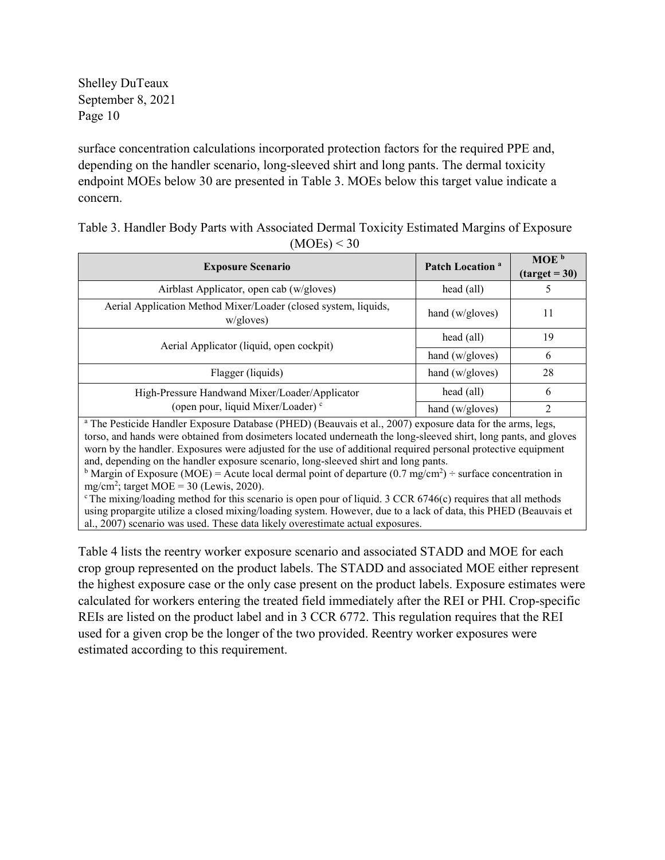surface concentration calculations incorporated protection factors for the required PPE and, depending on the handler scenario, long-sleeved shirt and long pants. The dermal toxicity endpoint MOEs below 30 are presented in Table 3. MOEs below this target value indicate a concern.

Table 3. Handler Body Parts with Associated Dermal Toxicity Estimated Margins of Exposure  $(MOEs) < 30$ 

| <b>Exposure Scenario</b>                                                                                                                                                                                                                                                                                                                                   | Patch Location <sup>a</sup> | MOE <sub>b</sub> |  |  |
|------------------------------------------------------------------------------------------------------------------------------------------------------------------------------------------------------------------------------------------------------------------------------------------------------------------------------------------------------------|-----------------------------|------------------|--|--|
|                                                                                                                                                                                                                                                                                                                                                            |                             | $(target = 30)$  |  |  |
| Airblast Applicator, open cab (w/gloves)                                                                                                                                                                                                                                                                                                                   | head (all)                  |                  |  |  |
| Aerial Application Method Mixer/Loader (closed system, liquids,<br>w/gloves)                                                                                                                                                                                                                                                                               | hand (w/gloves)             | 11               |  |  |
| Aerial Applicator (liquid, open cockpit)                                                                                                                                                                                                                                                                                                                   | head (all)                  | 19               |  |  |
|                                                                                                                                                                                                                                                                                                                                                            | hand $(w/gloves)$           | 6                |  |  |
| Flagger (liquids)                                                                                                                                                                                                                                                                                                                                          | hand (w/gloves)             | 28               |  |  |
| High-Pressure Handwand Mixer/Loader/Applicator                                                                                                                                                                                                                                                                                                             | head (all)                  | 6                |  |  |
| (open pour, liquid Mixer/Loader) <sup>c</sup>                                                                                                                                                                                                                                                                                                              | hand (w/gloves)             | າ                |  |  |
| <sup>a</sup> The Pesticide Handler Exposure Database (PHED) (Beauvais et al., 2007) exposure data for the arms, legs,<br>torso, and hands were obtained from dosimeters located underneath the long-sleeved shirt, long pants, and gloves<br>worn by the handler. Exposures were adjusted for the use of additional required personal protective equipment |                             |                  |  |  |

and, depending on the handler exposure scenario, long-sleeved shirt and long pants.<br><sup>b</sup> Margin of Exposure (MOE) = Acute local dermal point of departure (0.7 mg/cm<sup>2</sup>) ÷ surface concentration in mg/cm2 ; target MOE = 30 (Lewis, 2020).

 $c$  The mixing/loading method for this scenario is open pour of liquid. 3 CCR 6746(c) requires that all methods using propargite utilize a closed mixing/loading system. However, due to a lack of data, this PHED (Beauvais et al., 2007) scenario was used. These data likely overestimate actual exposures.

Table 4 lists the reentry worker exposure scenario and associated STADD and MOE for each crop group represented on the product labels. The STADD and associated MOE either represent the highest exposure case or the only case present on the product labels. Exposure estimates were calculated for workers entering the treated field immediately after the REI or PHI. Crop-specific REIs are listed on the product label and in 3 CCR 6772. This regulation requires that the REI used for a given crop be the longer of the two provided. Reentry worker exposures were estimated according to this requirement.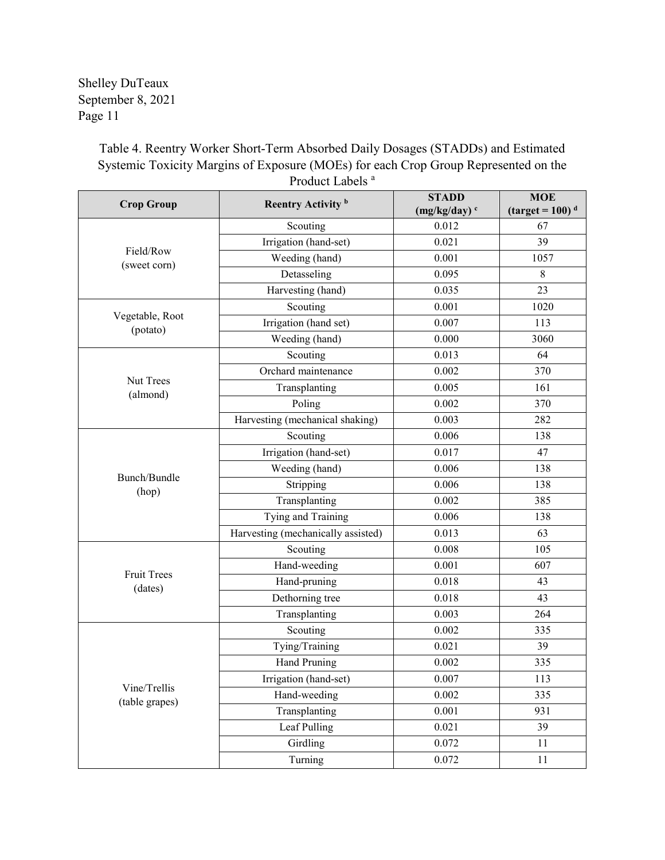> Table 4. Reentry Worker Short-Term Absorbed Daily Dosages (STADDs) and Estimated Systemic Toxicity Margins of Exposure (MOEs) for each Crop Group Represented on the Product Labels<sup>a</sup>

| <b>Crop Group</b>              | Reentry Activity <sup>b</sup>      | <b>STADD</b>    | <b>MOE</b>                                |
|--------------------------------|------------------------------------|-----------------|-------------------------------------------|
|                                |                                    | $(mg/kg/day)^c$ | $\frac{1}{q}$ (target = 100) <sup>d</sup> |
|                                | Scouting                           | 0.012           | 67                                        |
| Field/Row                      | Irrigation (hand-set)              | 0.021           | 39                                        |
| (sweet corn)                   | Weeding (hand)                     | 0.001           | 1057                                      |
|                                | Detasseling                        | 0.095           | 8                                         |
|                                | Harvesting (hand)                  | 0.035           | 23                                        |
|                                | Scouting                           | 0.001           | 1020                                      |
| Vegetable, Root<br>(potato)    | Irrigation (hand set)              | 0.007           | 113                                       |
|                                | Weeding (hand)                     | 0.000           | 3060                                      |
|                                | Scouting                           | 0.013           | 64                                        |
|                                | Orchard maintenance                | 0.002           | 370                                       |
| Nut Trees<br>(almond)          | Transplanting                      | 0.005           | 161                                       |
|                                | Poling                             | 0.002           | 370                                       |
|                                | Harvesting (mechanical shaking)    | 0.003           | 282                                       |
|                                | Scouting                           | 0.006           | 138                                       |
|                                | Irrigation (hand-set)              | 0.017           | 47                                        |
|                                | Weeding (hand)                     | 0.006           | 138                                       |
| Bunch/Bundle                   | Stripping                          | 0.006           | 138                                       |
| (hop)                          | Transplanting                      | 0.002           | 385                                       |
|                                | Tying and Training                 | 0.006           | 138                                       |
|                                | Harvesting (mechanically assisted) | 0.013           | 63                                        |
|                                | Scouting                           | 0.008           | 105                                       |
|                                | Hand-weeding                       | 0.001           | 607                                       |
| <b>Fruit Trees</b><br>(dates)  | Hand-pruning                       | 0.018           | 43                                        |
|                                | Dethorning tree                    | 0.018           | 43                                        |
|                                | Transplanting                      | 0.003           | 264                                       |
|                                | Scouting                           | 0.002           | 335                                       |
|                                | Tying/Training                     | 0.021           | 39                                        |
|                                | Hand Pruning                       | 0.002           | 335                                       |
|                                | Irrigation (hand-set)              | 0.007           | 113                                       |
| Vine/Trellis<br>(table grapes) | Hand-weeding                       | 0.002           | 335                                       |
|                                | Transplanting                      | 0.001           | 931                                       |
|                                | Leaf Pulling                       | 0.021           | 39                                        |
|                                | Girdling                           | 0.072           | 11                                        |
|                                | Turning                            | 0.072           | 11                                        |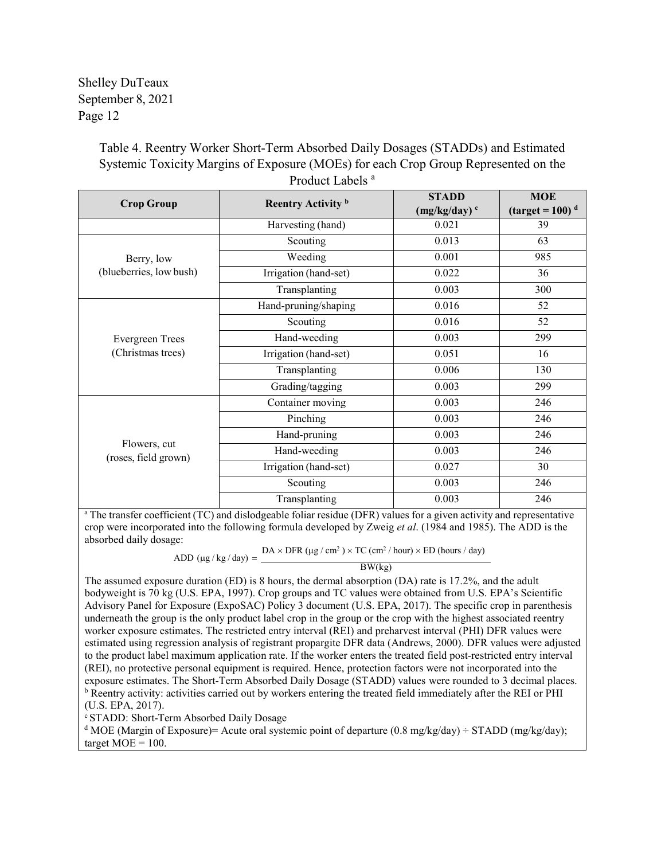> Table 4. Reentry Worker Short-Term Absorbed Daily Dosages (STADDs) and Estimated Systemic Toxicity Margins of Exposure (MOEs) for each Crop Group Represented on the Product Labels<sup>a</sup>

| <b>Crop Group</b>                    | Reentry Activity <sup>b</sup> | <b>STADD</b>    | <b>MOE</b>                                |
|--------------------------------------|-------------------------------|-----------------|-------------------------------------------|
|                                      |                               | $(mg/kg/day)^c$ | $\frac{1}{q}$ (target = 100) <sup>d</sup> |
|                                      | Harvesting (hand)             | 0.021           | 39                                        |
|                                      | Scouting                      | 0.013           | 63                                        |
| Berry, low                           | Weeding                       | 0.001           | 985                                       |
| (blueberries, low bush)              | Irrigation (hand-set)         | 0.022           | 36                                        |
|                                      | Transplanting                 | 0.003           | 300                                       |
|                                      | Hand-pruning/shaping          | 0.016           | 52                                        |
|                                      | Scouting                      | 0.016           | 52                                        |
| <b>Evergreen Trees</b>               | Hand-weeding                  | 0.003           | 299                                       |
| (Christmas trees)                    | Irrigation (hand-set)         | 0.051           | 16                                        |
|                                      | Transplanting                 | 0.006           | 130                                       |
|                                      | Grading/tagging               | 0.003           | 299                                       |
|                                      | Container moving              | 0.003           | 246                                       |
|                                      | Pinching                      | 0.003           | 246                                       |
|                                      | Hand-pruning                  | 0.003           | 246                                       |
| Flowers, cut<br>(roses, field grown) | Hand-weeding                  | 0.003           | 246                                       |
|                                      | Irrigation (hand-set)         | 0.027           | 30                                        |
|                                      | Scouting                      | 0.003           | 246                                       |
|                                      | Transplanting                 | 0.003           | 246                                       |

<sup>a</sup> The transfer coefficient (TC) and dislodgeable foliar residue (DFR) values for a given activity and representative crop were incorporated into the following formula developed by Zweig *et al*. (1984 and 1985). The ADD is the absorbed daily dosage:

ADD  $(\mu g / kg / day) = \frac{DA \times DFR (\mu g / cm^2) \times TC (cm^2 / hour) \times ED (hours / day)}{BW (kg)}$ 

The assumed exposure duration (ED) is 8 hours, the dermal absorption (DA) rate is 17.2%, and the adult bodyweight is 70 kg (U.S. EPA, 1997). Crop groups and TC values were obtained from U.S. EPA's Scientific Advisory Panel for Exposure (ExpoSAC) Policy 3 document (U.S. EPA, 2017). The specific crop in parenthesis underneath the group is the only product label crop in the group or the crop with the highest associated reentry worker exposure estimates. The restricted entry interval (REI) and preharvest interval (PHI) DFR values were estimated using regression analysis of registrant propargite DFR data (Andrews, 2000). DFR values were adjusted to the product label maximum application rate. If the worker enters the treated field post-restricted entry interval (REI), no protective personal equipment is required. Hence, protection factors were not incorporated into the exposure estimates. The Short-Term Absorbed Daily Dosage (STADD) values were rounded to 3 decimal places. b Reentry activity: activities carried out by workers entering the treated field immediately after the REI or PHI (U.S. EPA, 2017).

<sup>c</sup> STADD: Short-Term Absorbed Daily Dosage

<sup>d</sup> MOE (Margin of Exposure)= Acute oral systemic point of departure (0.8 mg/kg/day) ÷ STADD (mg/kg/day); target  $MOE = 100$ .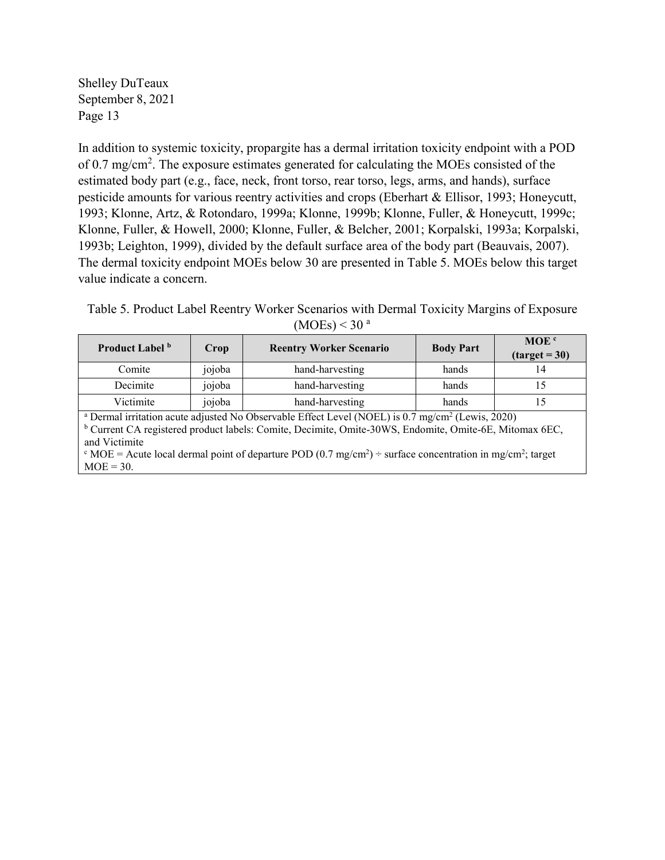In addition to systemic toxicity, propargite has a dermal irritation toxicity endpoint with a POD of 0.7 mg/cm<sup>2</sup>. The exposure estimates generated for calculating the MOEs consisted of the estimated body part (e.g., face, neck, front torso, rear torso, legs, arms, and hands), surface pesticide amounts for various reentry activities and crops (Eberhart & Ellisor, 1993; Honeycutt, 1993; Klonne, Artz, & Rotondaro, 1999a; Klonne, 1999b; Klonne, Fuller, & Honeycutt, 1999c; Klonne, Fuller, & Howell, 2000; Klonne, Fuller, & Belcher, 2001; Korpalski, 1993a; Korpalski, 1993b; Leighton, 1999), divided by the default surface area of the body part (Beauvais, 2007). The dermal toxicity endpoint MOEs below 30 are presented in Table 5. MOEs below this target value indicate a concern.

Table 5. Product Label Reentry Worker Scenarios with Dermal Toxicity Margins of Exposure  $(MOEs) < 30<sup>a</sup>$ 

| Product Label <sup>b</sup>                                                                                                                                                                                                                                                                                                                                                                                                  | Crop   | <b>Reentry Worker Scenario</b> | <b>Body Part</b> | MOE <sup>c</sup><br>$(target = 30)$ |  |  |
|-----------------------------------------------------------------------------------------------------------------------------------------------------------------------------------------------------------------------------------------------------------------------------------------------------------------------------------------------------------------------------------------------------------------------------|--------|--------------------------------|------------------|-------------------------------------|--|--|
| Comite                                                                                                                                                                                                                                                                                                                                                                                                                      | jojoba | hand-harvesting                | hands            | 14                                  |  |  |
| Decimite                                                                                                                                                                                                                                                                                                                                                                                                                    | jojoba | hand-harvesting                | hands            | 15                                  |  |  |
| Victimite                                                                                                                                                                                                                                                                                                                                                                                                                   | jojoba | hand-harvesting                | hands            | 15                                  |  |  |
| <sup>a</sup> Dermal irritation acute adjusted No Observable Effect Level (NOEL) is 0.7 mg/cm <sup>2</sup> (Lewis, 2020)<br><sup>b</sup> Current CA registered product labels: Comite, Decimite, Omite-30WS, Endomite, Omite-6E, Mitomax 6EC,<br>and Victimite<br>$\epsilon$ MOE = Acute local dermal point of departure POD (0.7 mg/cm <sup>2</sup> ) ÷ surface concentration in mg/cm <sup>2</sup> ; target<br>$MOE = 30.$ |        |                                |                  |                                     |  |  |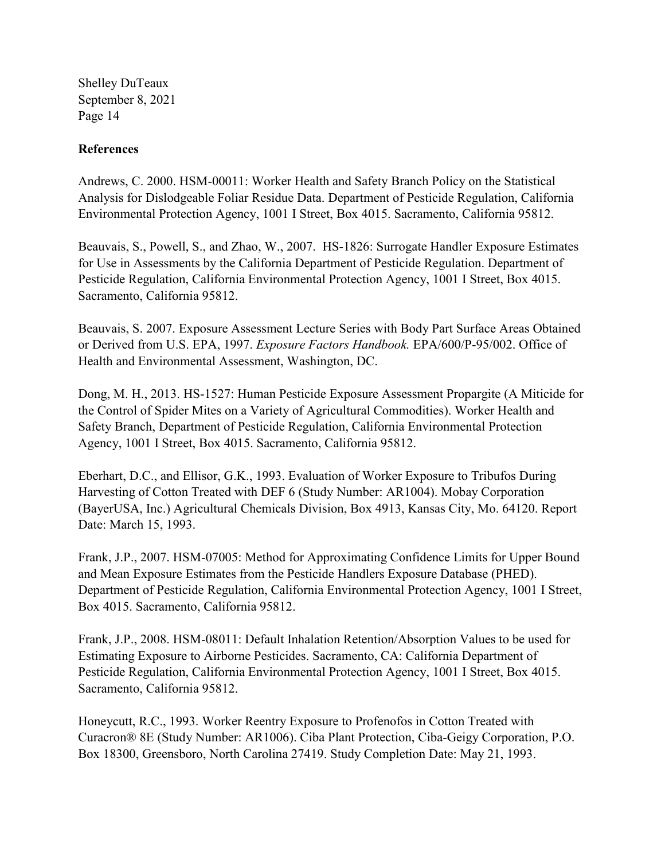### **References**

Andrews, C. 2000. HSM-00011: Worker Health and Safety Branch Policy on the Statistical Analysis for Dislodgeable Foliar Residue Data. Department of Pesticide Regulation, California Environmental Protection Agency, 1001 I Street, Box 4015. Sacramento, California 95812.

Beauvais, S., Powell, S., and Zhao, W., 2007. HS-1826: Surrogate Handler Exposure Estimates for Use in Assessments by the California Department of Pesticide Regulation. Department of Pesticide Regulation, California Environmental Protection Agency, 1001 I Street, Box 4015. Sacramento, California 95812.

Beauvais, S. 2007. Exposure Assessment Lecture Series with Body Part Surface Areas Obtained or Derived from U.S. EPA, 1997. *Exposure Factors Handbook.* EPA/600/P-95/002. Office of Health and Environmental Assessment, Washington, DC.

Dong, M. H., 2013. HS-1527: Human Pesticide Exposure Assessment Propargite (A Miticide for the Control of Spider Mites on a Variety of Agricultural Commodities). Worker Health and Safety Branch, Department of Pesticide Regulation, California Environmental Protection Agency, 1001 I Street, Box 4015. Sacramento, California 95812.

Eberhart, D.C., and Ellisor, G.K., 1993. Evaluation of Worker Exposure to Tribufos During Harvesting of Cotton Treated with DEF 6 (Study Number: AR1004). Mobay Corporation (BayerUSA, Inc.) Agricultural Chemicals Division, Box 4913, Kansas City, Mo. 64120. Report Date: March 15, 1993.

Frank, J.P., 2007. HSM-07005: Method for Approximating Confidence Limits for Upper Bound and Mean Exposure Estimates from the Pesticide Handlers Exposure Database (PHED). Department of Pesticide Regulation, California Environmental Protection Agency, 1001 I Street, Box 4015. Sacramento, California 95812.

Frank, J.P., 2008. HSM-08011: Default Inhalation Retention/Absorption Values to be used for Estimating Exposure to Airborne Pesticides. Sacramento, CA: California Department of Pesticide Regulation, California Environmental Protection Agency, 1001 I Street, Box 4015. Sacramento, California 95812.

Honeycutt, R.C., 1993. Worker Reentry Exposure to Profenofos in Cotton Treated with Curacron® 8E (Study Number: AR1006). Ciba Plant Protection, Ciba-Geigy Corporation, P.O. Box 18300, Greensboro, North Carolina 27419. Study Completion Date: May 21, 1993.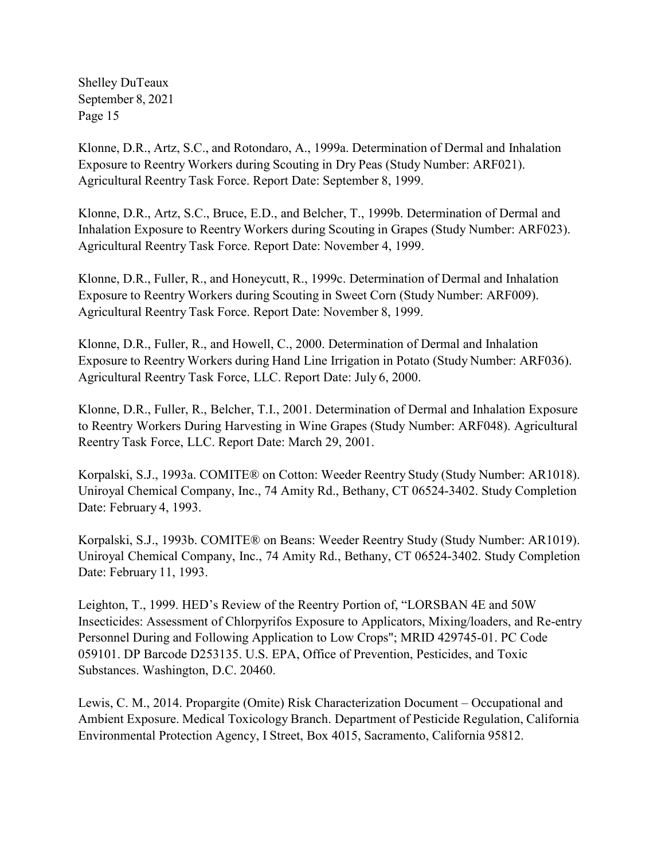Klonne, D.R., Artz, S.C., and Rotondaro, A., 1999a. Determination of Dermal and Inhalation Exposure to Reentry Workers during Scouting in Dry Peas (Study Number: ARF021). Agricultural Reentry Task Force. Report Date: September 8, 1999.

Klonne, D.R., Artz, S.C., Bruce, E.D., and Belcher, T., 1999b. Determination of Dermal and Inhalation Exposure to Reentry Workers during Scouting in Grapes (Study Number: ARF023). Agricultural Reentry Task Force. Report Date: November 4, 1999.

Klonne, D.R., Fuller, R., and Honeycutt, R., 1999c. Determination of Dermal and Inhalation Exposure to Reentry Workers during Scouting in Sweet Corn (Study Number: ARF009). Agricultural Reentry Task Force. Report Date: November 8, 1999.

Klonne, D.R., Fuller, R., and Howell, C., 2000. Determination of Dermal and Inhalation Exposure to Reentry Workers during Hand Line Irrigation in Potato (Study Number: ARF036). Agricultural Reentry Task Force, LLC. Report Date: July 6, 2000.

Klonne, D.R., Fuller, R., Belcher, T.I., 2001. Determination of Dermal and Inhalation Exposure to Reentry Workers During Harvesting in Wine Grapes (Study Number: ARF048). Agricultural Reentry Task Force, LLC. Report Date: March 29, 2001.

Korpalski, S.J., 1993a. COMITE® on Cotton: Weeder Reentry Study (Study Number: AR1018). Uniroyal Chemical Company, Inc., 74 Amity Rd., Bethany, CT 06524-3402. Study Completion Date: February 4, 1993.

Korpalski, S.J., 1993b. COMITE® on Beans: Weeder Reentry Study (Study Number: AR1019). Uniroyal Chemical Company, Inc., 74 Amity Rd., Bethany, CT 06524-3402. Study Completion Date: February 11, 1993.

Leighton, T., 1999. HED's Review of the Reentry Portion of, "LORSBAN 4E and 50W Insecticides: Assessment of Chlorpyrifos Exposure to Applicators, Mixing/loaders, and Re-entry Personnel During and Following Application to Low Crops"; MRID 429745-01. PC Code 059101. DP Barcode D253135. U.S. EPA, Office of Prevention, Pesticides, and Toxic Substances. Washington, D.C. 20460.

Lewis, C. M., 2014. Propargite (Omite) Risk Characterization Document – Occupational and Ambient Exposure. Medical Toxicology Branch. Department of Pesticide Regulation, California Environmental Protection Agency, I Street, Box 4015, Sacramento, California 95812.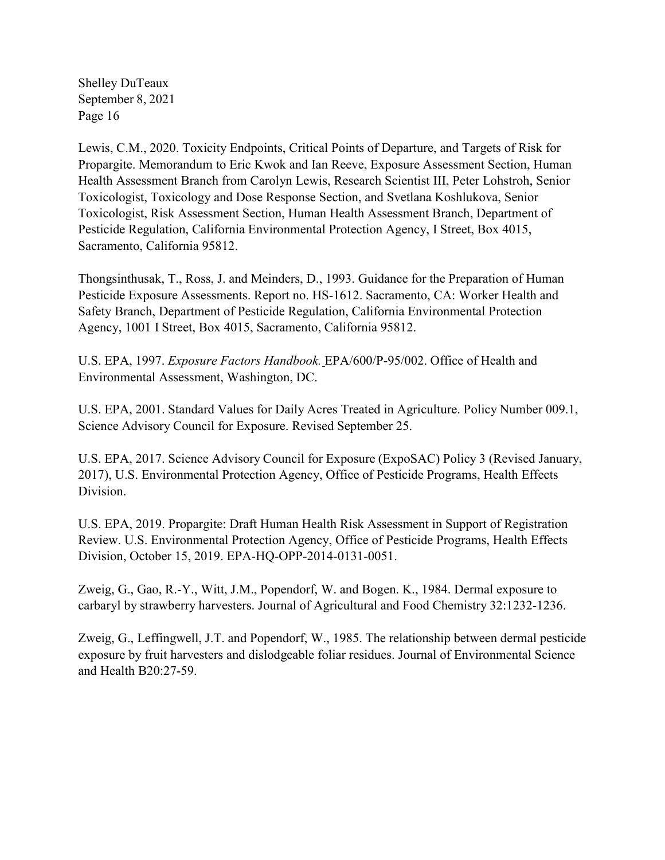Lewis, C.M., 2020. Toxicity Endpoints, Critical Points of Departure, and Targets of Risk for Propargite. Memorandum to Eric Kwok and Ian Reeve, Exposure Assessment Section, Human Health Assessment Branch from Carolyn Lewis, Research Scientist III, Peter Lohstroh, Senior Toxicologist, Toxicology and Dose Response Section, and Svetlana Koshlukova, Senior Toxicologist, Risk Assessment Section, Human Health Assessment Branch, Department of Pesticide Regulation, California Environmental Protection Agency, I Street, Box 4015, Sacramento, California 95812.

Thongsinthusak, T., Ross, J. and Meinders, D., 1993. Guidance for the Preparation of Human Pesticide Exposure Assessments. Report no. HS-1612. Sacramento, CA: Worker Health and Safety Branch, Department of Pesticide Regulation, California Environmental Protection Agency, 1001 I Street, Box 4015, Sacramento, California 95812.

U.S. EPA, 1997. *Exposure Factors Handbook.* EPA/600/P-95/002. Office of Health and Environmental Assessment, Washington, DC.

U.S. EPA, 2001. Standard Values for Daily Acres Treated in Agriculture. Policy Number 009.1, Science Advisory Council for Exposure. Revised September 25.

U.S. EPA, 2017. Science Advisory Council for Exposure (ExpoSAC) Policy 3 (Revised January, 2017), U.S. Environmental Protection Agency, Office of Pesticide Programs, Health Effects Division.

U.S. EPA, 2019. Propargite: Draft Human Health Risk Assessment in Support of Registration Review. U.S. Environmental Protection Agency, Office of Pesticide Programs, Health Effects Division, October 15, 2019. EPA-HQ-OPP-2014-0131-0051.

Zweig, G., Gao, R.-Y., Witt, J.M., Popendorf, W. and Bogen. K., 1984. Dermal exposure to carbaryl by strawberry harvesters. Journal of Agricultural and Food Chemistry 32:1232-1236.

Zweig, G., Leffingwell, J.T. and Popendorf, W., 1985. The relationship between dermal pesticide exposure by fruit harvesters and dislodgeable foliar residues. Journal of Environmental Science and Health B20:27-59.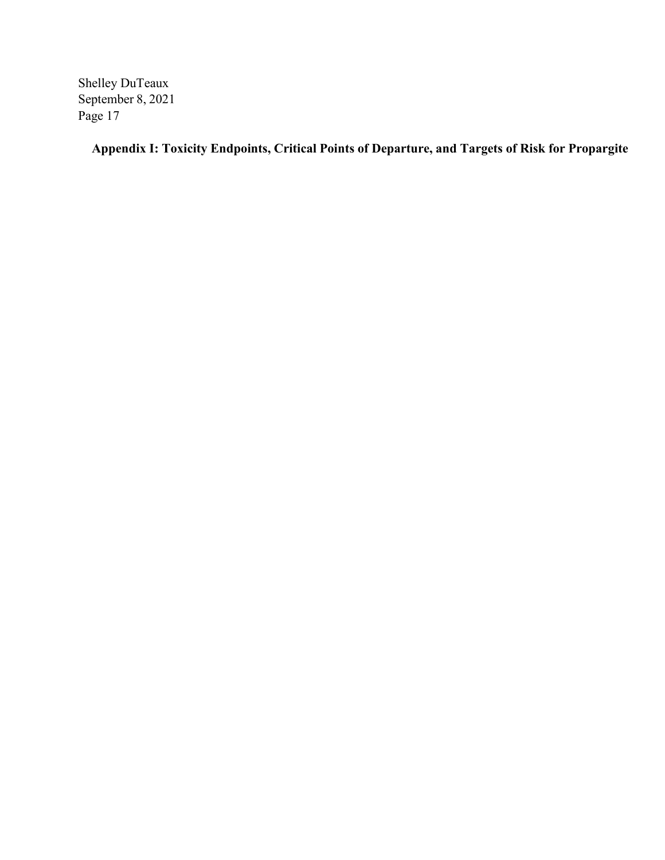**Appendix I: Toxicity Endpoints, Critical Points of Departure, and Targets of Risk for Propargite**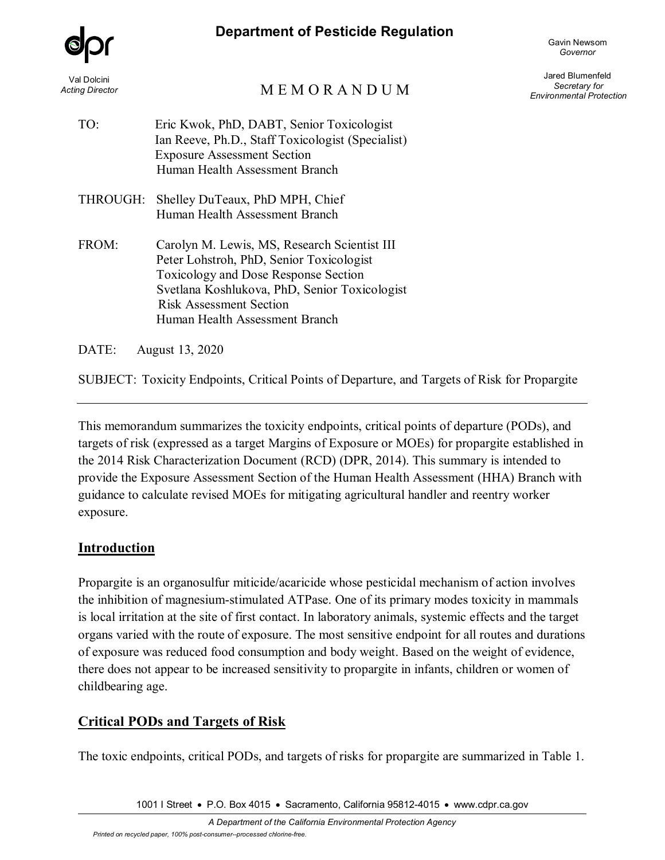## **Department of Pesticide Regulation**



Gavin Newsom *Governor*

# M E M O R A N D U M

Jared Blumenfeld *Secretary for Environmental Protection*

| TO:      | Eric Kwok, PhD, DABT, Senior Toxicologist<br>Ian Reeve, Ph.D., Staff Toxicologist (Specialist)<br><b>Exposure Assessment Section</b><br>Human Health Assessment Branch                                                                                |
|----------|-------------------------------------------------------------------------------------------------------------------------------------------------------------------------------------------------------------------------------------------------------|
| THROUGH: | Shelley DuTeaux, PhD MPH, Chief<br>Human Health Assessment Branch                                                                                                                                                                                     |
| FROM:    | Carolyn M. Lewis, MS, Research Scientist III<br>Peter Lohstroh, PhD, Senior Toxicologist<br>Toxicology and Dose Response Section<br>Svetlana Koshlukova, PhD, Senior Toxicologist<br><b>Risk Assessment Section</b><br>Human Health Assessment Branch |

DATE: August 13, 2020

SUBJECT: Toxicity Endpoints, Critical Points of Departure, and Targets of Risk for Propargite

This memorandum summarizes the toxicity endpoints, critical points of departure (PODs), and targets of risk (expressed as a target Margins of Exposure or MOEs) for propargite established in the 2014 Risk Characterization Document (RCD) (DPR, 2014). This summary is intended to provide the Exposure Assessment Section of the Human Health Assessment (HHA) Branch with guidance to calculate revised MOEs for mitigating agricultural handler and reentry worker exposure.

## **Introduction**

Propargite is an organosulfur miticide/acaricide whose pesticidal mechanism of action involves the inhibition of magnesium-stimulated ATPase. One of its primary modes toxicity in mammals is local irritation at the site of first contact. In laboratory animals, systemic effects and the target organs varied with the route of exposure. The most sensitive endpoint for all routes and durations of exposure was reduced food consumption and body weight. Based on the weight of evidence, there does not appear to be increased sensitivity to propargite in infants, children or women of childbearing age.

## **Critical PODs and Targets of Risk**

The toxic endpoints, critical PODs, and targets of risks for propargite are summarized in Table 1.

1001 I Street • P.O. Box 4015 • Sacramento, California 95812-4015 • www.cdpr.ca.gov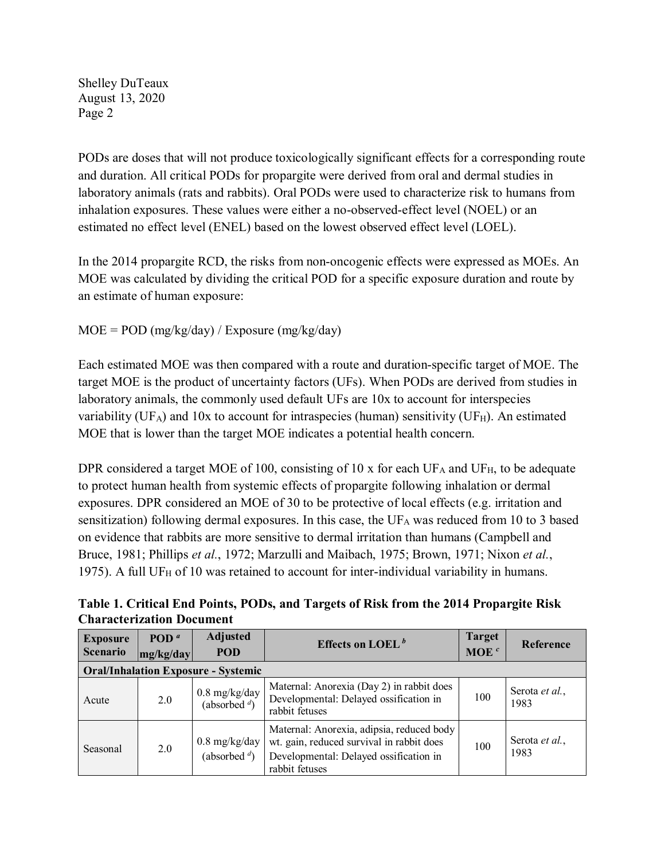Shelley DuTeaux August 13, 2020 Page 2

PODs are doses that will not produce toxicologically significant effects for a corresponding route and duration. All critical PODs for propargite were derived from oral and dermal studies in laboratory animals (rats and rabbits). Oral PODs were used to characterize risk to humans from inhalation exposures. These values were either a no-observed-effect level (NOEL) or an estimated no effect level (ENEL) based on the lowest observed effect level (LOEL).

In the 2014 propargite RCD, the risks from non-oncogenic effects were expressed as MOEs. An MOE was calculated by dividing the critical POD for a specific exposure duration and route by an estimate of human exposure:

## $MOE = POD (mg/kg/day) / Exposure (mg/kg/day)$

Each estimated MOE was then compared with a route and duration-specific target of MOE. The target MOE is the product of uncertainty factors (UFs). When PODs are derived from studies in laboratory animals, the commonly used default UFs are 10x to account for interspecies variability (UF<sub>A</sub>) and 10x to account for intraspecies (human) sensitivity (UF<sub>H</sub>). An estimated MOE that is lower than the target MOE indicates a potential health concern.

DPR considered a target MOE of 100, consisting of 10 x for each  $UF_A$  and  $UF_H$ , to be adequate to protect human health from systemic effects of propargite following inhalation or dermal exposures. DPR considered an MOE of 30 to be protective of local effects (e.g. irritation and sensitization) following dermal exposures. In this case, the  $UF_A$  was reduced from 10 to 3 based on evidence that rabbits are more sensitive to dermal irritation than humans (Campbell and Bruce, 1981; Phillips *et al.*, 1972; Marzulli and Maibach, 1975; Brown, 1971; Nixon *et al.*, 1975). A full UF $_H$  of 10 was retained to account for inter-individual variability in humans.

**Table 1. Critical End Points, PODs, and Targets of Risk from the 2014 Propargite Risk Characterization Document**

| <b>Exposure</b><br><b>Scenario</b> | POD <sup><math>a</math></sup><br>mg/kg/day | <b>Adjusted</b><br><b>POD</b>                        | Effects on LOEL $^b$                                                                                                                               | <b>Target</b><br>MOE $c$ | Reference              |
|------------------------------------|--------------------------------------------|------------------------------------------------------|----------------------------------------------------------------------------------------------------------------------------------------------------|--------------------------|------------------------|
|                                    |                                            | <b>Oral/Inhalation Exposure - Systemic</b>           |                                                                                                                                                    |                          |                        |
| Acute                              | 2.0                                        | $0.8$ mg/kg/day<br>(absorbed $\sqrt[d]{ }$ )         | Maternal: Anorexia (Day 2) in rabbit does<br>Developmental: Delayed ossification in<br>rabbit fetuses                                              | 100                      | Serota et al.,<br>1983 |
| Seasonal                           | 2.0                                        | $0.8 \text{ mg/kg/day}$<br>(absorbed $\frac{d}{d}$ ) | Maternal: Anorexia, adipsia, reduced body<br>wt. gain, reduced survival in rabbit does<br>Developmental: Delayed ossification in<br>rabbit fetuses | 100                      | Serota et al.,<br>1983 |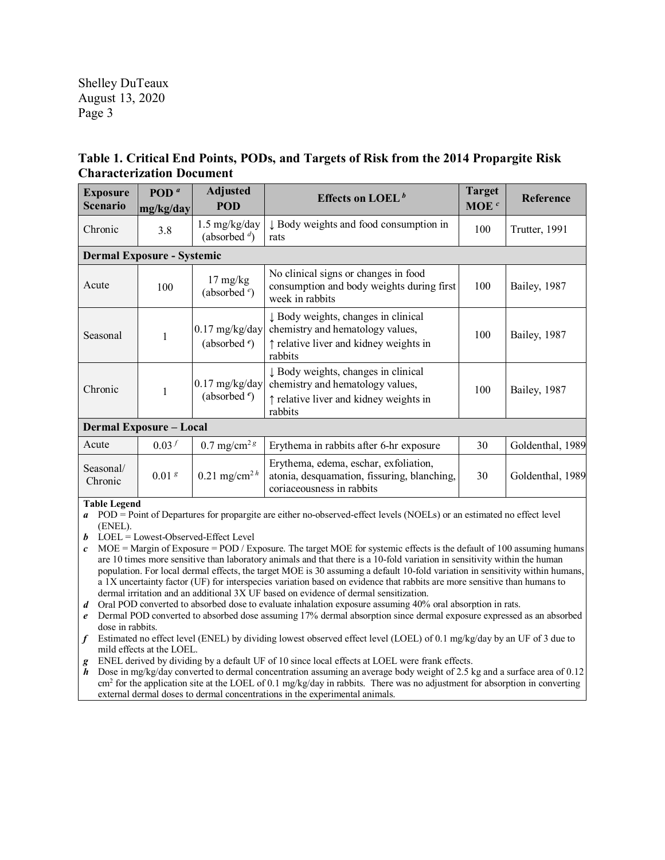Shelley DuTeaux August 13, 2020 Page 3

## **Table 1. Critical End Points, PODs, and Targets of Risk from the 2014 Propargite Risk Characterization Document**

| <b>Exposure</b><br><b>Scenario</b> | POD <sup><math>a</math></sup><br>mg/kg/day | <b>Adjusted</b><br><b>POD</b>         | Effects on LOEL <sup>b</sup>                                                                                                 | <b>Target</b><br>MOE <sup>c</sup> | Reference        |  |
|------------------------------------|--------------------------------------------|---------------------------------------|------------------------------------------------------------------------------------------------------------------------------|-----------------------------------|------------------|--|
| Chronic                            | 3.8                                        | 1.5 mg/kg/day<br>(absorbed $\phi$ )   | ↓ Body weights and food consumption in<br>rats                                                                               | 100                               | Trutter, 1991    |  |
| <b>Dermal Exposure - Systemic</b>  |                                            |                                       |                                                                                                                              |                                   |                  |  |
| Acute                              | 100                                        | $17 \text{ mg/kg}$<br>(absorbed $e$ ) | No clinical signs or changes in food<br>consumption and body weights during first<br>week in rabbits                         | 100                               | Bailey, 1987     |  |
| Seasonal                           | 1                                          | $0.17$ mg/kg/day<br>(absorbed $e$ )   | ↓ Body weights, changes in clinical<br>chemistry and hematology values,<br>↑ relative liver and kidney weights in<br>rabbits | 100                               | Bailey, 1987     |  |
| Chronic                            | 1                                          | $0.17$ mg/kg/day<br>(absorbed $e$ )   | ↓ Body weights, changes in clinical<br>chemistry and hematology values,<br>↑ relative liver and kidney weights in<br>rabbits | 100                               | Bailey, 1987     |  |
| <b>Dermal Exposure - Local</b>     |                                            |                                       |                                                                                                                              |                                   |                  |  |
| Acute                              | 0.03 <sup>f</sup>                          | $0.7 \text{ mg/cm}^{2}$ s             | Erythema in rabbits after 6-hr exposure                                                                                      | 30                                | Goldenthal, 1989 |  |
| Seasonal/<br>Chronic               | 0.01 <sup>g</sup>                          | 0.21 mg/cm <sup>2 h</sup>             | Erythema, edema, eschar, exfoliation,<br>atonia, desquamation, fissuring, blanching,<br>coriaceousness in rabbits            | 30                                | Goldenthal, 1989 |  |
| <b>Table Legend</b>                |                                            |                                       |                                                                                                                              |                                   |                  |  |

*a* POD = Point of Departures for propargite are either no-observed-effect levels (NOELs) or an estimated no effect level (ENEL).

*b* LOEL = Lowest-Observed-Effect Level

 $c$  MOE = Margin of Exposure = POD / Exposure. The target MOE for systemic effects is the default of 100 assuming humans are 10 times more sensitive than laboratory animals and that there is a 10-fold variation in sensitivity within the human population. For local dermal effects, the target MOE is 30 assuming a default 10-fold variation in sensitivity within humans, a 1X uncertainty factor (UF) for interspecies variation based on evidence that rabbits are more sensitive than humans to dermal irritation and an additional 3X UF based on evidence of dermal sensitization.

*d* Oral POD converted to absorbed dose to evaluate inhalation exposure assuming 40% oral absorption in rats.

*e* Dermal POD converted to absorbed dose assuming 17% dermal absorption since dermal exposure expressed as an absorbed dose in rabbits.

*f* Estimated no effect level (ENEL) by dividing lowest observed effect level (LOEL) of 0.1 mg/kg/day by an UF of 3 due to mild effects at the LOEL.

*g* ENEL derived by dividing by a default UF of 10 since local effects at LOEL were frank effects.

*h* Dose in mg/kg/day converted to dermal concentration assuming an average body weight of 2.5 kg and a surface area of 0.12 cm2 for the application site at the LOEL of 0.1 mg/kg/day in rabbits. There was no adjustment for absorption in converting external dermal doses to dermal concentrations in the experimental animals.